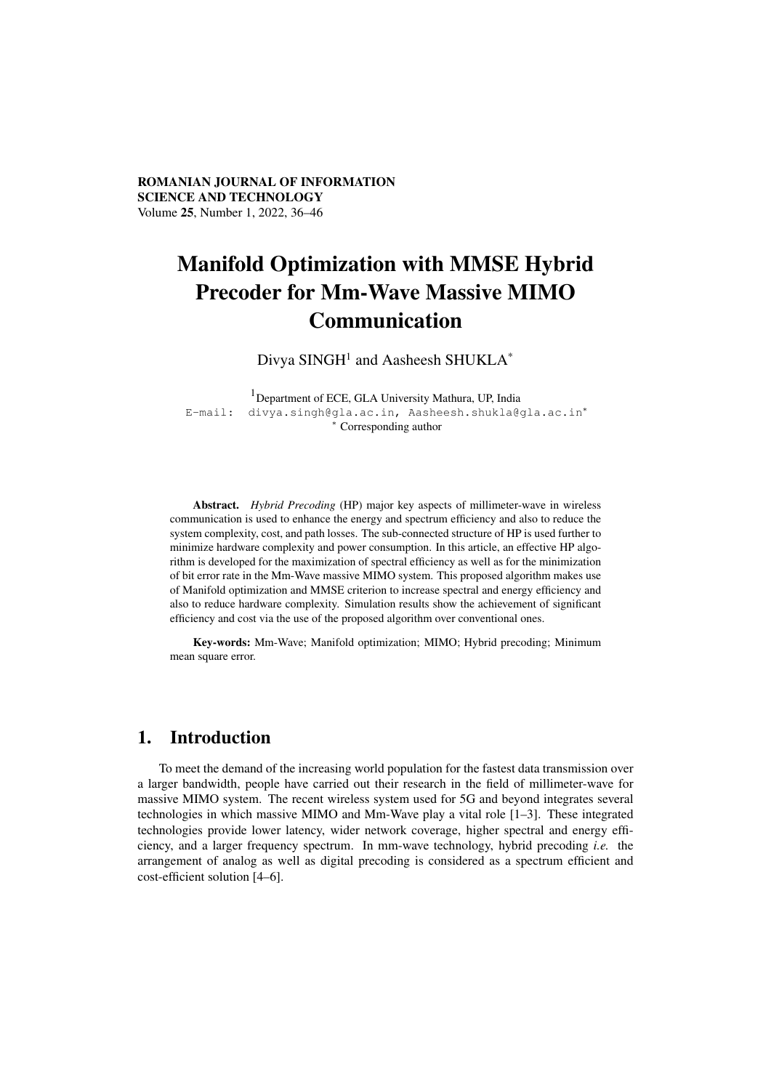ROMANIAN JOURNAL OF INFORMATION SCIENCE AND TECHNOLOGY Volume 25, Number 1, 2022, 36–46

# Manifold Optimization with MMSE Hybrid Precoder for Mm-Wave Massive MIMO Communication

Divya SINGH<sup>1</sup> and Aasheesh SHUKLA<sup>\*</sup>

<sup>1</sup>Department of ECE, GLA University Mathura, UP, India E-mail: divya.singh@gla.ac.in, Aasheesh.shukla@gla.ac.in<sup>∗</sup> <sup>∗</sup> Corresponding author

Abstract. *Hybrid Precoding* (HP) major key aspects of millimeter-wave in wireless communication is used to enhance the energy and spectrum efficiency and also to reduce the system complexity, cost, and path losses. The sub-connected structure of HP is used further to minimize hardware complexity and power consumption. In this article, an effective HP algorithm is developed for the maximization of spectral efficiency as well as for the minimization of bit error rate in the Mm-Wave massive MIMO system. This proposed algorithm makes use of Manifold optimization and MMSE criterion to increase spectral and energy efficiency and also to reduce hardware complexity. Simulation results show the achievement of significant efficiency and cost via the use of the proposed algorithm over conventional ones.

Key-words: Mm-Wave; Manifold optimization; MIMO; Hybrid precoding; Minimum mean square error.

## 1. Introduction

To meet the demand of the increasing world population for the fastest data transmission over a larger bandwidth, people have carried out their research in the field of millimeter-wave for massive MIMO system. The recent wireless system used for 5G and beyond integrates several technologies in which massive MIMO and Mm-Wave play a vital role [1–3]. These integrated technologies provide lower latency, wider network coverage, higher spectral and energy efficiency, and a larger frequency spectrum. In mm-wave technology, hybrid precoding *i.e.* the arrangement of analog as well as digital precoding is considered as a spectrum efficient and cost-efficient solution [4–6].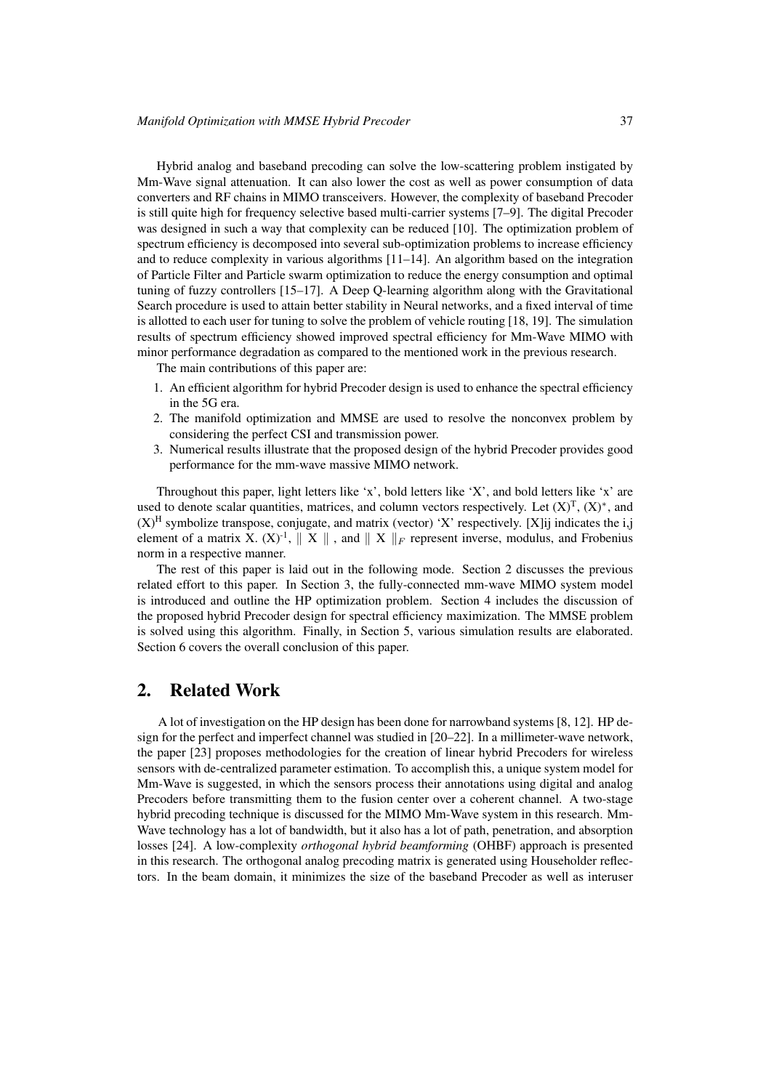Hybrid analog and baseband precoding can solve the low-scattering problem instigated by Mm-Wave signal attenuation. It can also lower the cost as well as power consumption of data converters and RF chains in MIMO transceivers. However, the complexity of baseband Precoder is still quite high for frequency selective based multi-carrier systems [7–9]. The digital Precoder was designed in such a way that complexity can be reduced [10]. The optimization problem of spectrum efficiency is decomposed into several sub-optimization problems to increase efficiency and to reduce complexity in various algorithms  $[11-14]$ . An algorithm based on the integration of Particle Filter and Particle swarm optimization to reduce the energy consumption and optimal tuning of fuzzy controllers [15–17]. A Deep Q-learning algorithm along with the Gravitational Search procedure is used to attain better stability in Neural networks, and a fixed interval of time is allotted to each user for tuning to solve the problem of vehicle routing [18, 19]. The simulation results of spectrum efficiency showed improved spectral efficiency for Mm-Wave MIMO with minor performance degradation as compared to the mentioned work in the previous research.

The main contributions of this paper are:

- 1. An efficient algorithm for hybrid Precoder design is used to enhance the spectral efficiency in the 5G era.
- 2. The manifold optimization and MMSE are used to resolve the nonconvex problem by considering the perfect CSI and transmission power.
- 3. Numerical results illustrate that the proposed design of the hybrid Precoder provides good performance for the mm-wave massive MIMO network.

Throughout this paper, light letters like 'x', bold letters like 'X', and bold letters like 'x' are used to denote scalar quantities, matrices, and column vectors respectively. Let  $(X)^T$ ,  $(X)^*$ , and  $(X)$ <sup>H</sup> symbolize transpose, conjugate, and matrix (vector) 'X' respectively. [X]ij indicates the i,j element of a matrix X.  $(X)^{-1}$ ,  $\parallel X \parallel$ , and  $\parallel X \parallel_F$  represent inverse, modulus, and Frobenius norm in a respective manner.

The rest of this paper is laid out in the following mode. Section 2 discusses the previous related effort to this paper. In Section 3, the fully-connected mm-wave MIMO system model is introduced and outline the HP optimization problem. Section 4 includes the discussion of the proposed hybrid Precoder design for spectral efficiency maximization. The MMSE problem is solved using this algorithm. Finally, in Section 5, various simulation results are elaborated. Section 6 covers the overall conclusion of this paper.

## 2. Related Work

A lot of investigation on the HP design has been done for narrowband systems [8, 12]. HP design for the perfect and imperfect channel was studied in [20–22]. In a millimeter-wave network, the paper [23] proposes methodologies for the creation of linear hybrid Precoders for wireless sensors with de-centralized parameter estimation. To accomplish this, a unique system model for Mm-Wave is suggested, in which the sensors process their annotations using digital and analog Precoders before transmitting them to the fusion center over a coherent channel. A two-stage hybrid precoding technique is discussed for the MIMO Mm-Wave system in this research. Mm-Wave technology has a lot of bandwidth, but it also has a lot of path, penetration, and absorption losses [24]. A low-complexity *orthogonal hybrid beamforming* (OHBF) approach is presented in this research. The orthogonal analog precoding matrix is generated using Householder reflectors. In the beam domain, it minimizes the size of the baseband Precoder as well as interuser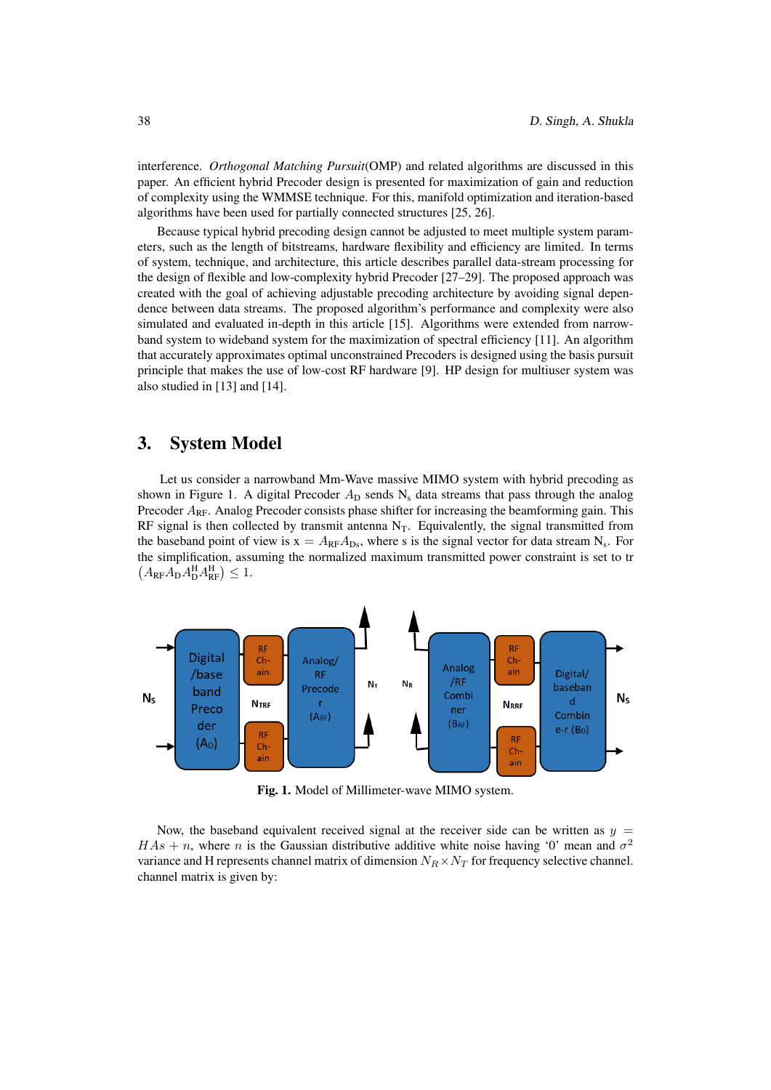interference. *Orthogonal Matching Pursuit*(OMP) and related algorithms are discussed in this paper. An efficient hybrid Precoder design is presented for maximization of gain and reduction of complexity using the WMMSE technique. For this, manifold optimization and iteration-based algorithms have been used for partially connected structures [25, 26].

Because typical hybrid precoding design cannot be adjusted to meet multiple system parameters, such as the length of bitstreams, hardware flexibility and efficiency are limited. In terms of system, technique, and architecture, this article describes parallel data-stream processing for the design of flexible and low-complexity hybrid Precoder [27–29]. The proposed approach was created with the goal of achieving adjustable precoding architecture by avoiding signal dependence between data streams. The proposed algorithm's performance and complexity were also simulated and evaluated in-depth in this article [15]. Algorithms were extended from narrowband system to wideband system for the maximization of spectral efficiency [11]. An algorithm that accurately approximates optimal unconstrained Precoders is designed using the basis pursuit principle that makes the use of low-cost RF hardware [9]. HP design for multiuser system was also studied in [13] and [14].

## 3. System Model

Let us consider a narrowband Mm-Wave massive MIMO system with hybrid precoding as shown in Figure 1. A digital Precoder  $A_D$  sends  $N_s$  data streams that pass through the analog Precoder  $A_{RF}$ . Analog Precoder consists phase shifter for increasing the beamforming gain. This RF signal is then collected by transmit antenna  $N<sub>T</sub>$ . Equivalently, the signal transmitted from the baseband point of view is  $x = A_{RF}A_{Ds}$ , where s is the signal vector for data stream N<sub>s</sub>. For the simplification, assuming the normalized maximum transmitted power constraint is set to tr  $(A_{\text{RF}}A_{\text{D}}A_{\text{D}}^{\text{H}}A_{\text{RF}}^{\text{H}}) \leq 1.$ 



Fig. 1. Model of Millimeter-wave MIMO system.

Now, the baseband equivalent received signal at the receiver side can be written as  $y =$  $HAs + n$ , where n is the Gaussian distributive additive white noise having '0' mean and  $\sigma^2$ variance and H represents channel matrix of dimension  $N_R \times N_T$  for frequency selective channel. channel matrix is given by: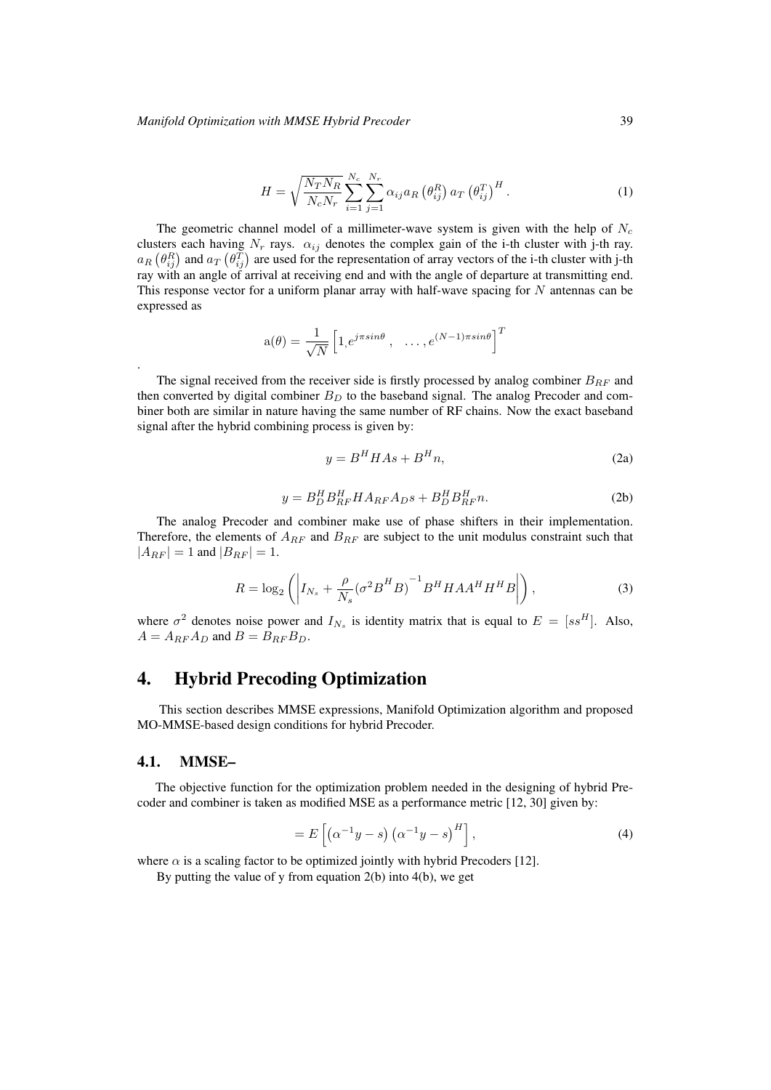$$
H = \sqrt{\frac{N_T N_R}{N_c N_r}} \sum_{i=1}^{N_c} \sum_{j=1}^{N_r} \alpha_{ij} a_R \left(\theta_{ij}^R\right) a_T \left(\theta_{ij}^T\right)^H.
$$
 (1)

The geometric channel model of a millimeter-wave system is given with the help of  $N_c$ clusters each having  $N_r$  rays.  $\alpha_{ij}$  denotes the complex gain of the i-th cluster with j-th ray.  $a_R$   $(\theta_{ij}^R)$  and  $a_T$   $(\theta_{ij}^T)$  are used for the representation of array vectors of the i-th cluster with j-th ray with an angle of arrival at receiving end and with the angle of departure at transmitting end. This response vector for a uniform planar array with half-wave spacing for  $N$  antennas can be expressed as

$$
\mathbf{a}(\theta) = \frac{1}{\sqrt{N}} \begin{bmatrix} 1, e^{j\pi sin\theta} , & \dots, e^{(N-1)\pi sin\theta} \end{bmatrix}^T
$$

The signal received from the receiver side is firstly processed by analog combiner  $B_{RF}$  and then converted by digital combiner  $B<sub>D</sub>$  to the baseband signal. The analog Precoder and combiner both are similar in nature having the same number of RF chains. Now the exact baseband signal after the hybrid combining process is given by:

$$
y = B^H H A s + B^H n,\tag{2a}
$$

$$
y = B_D^H B_{RF}^H H A_{RF} A_D s + B_D^H B_{RF}^H n. \tag{2b}
$$

The analog Precoder and combiner make use of phase shifters in their implementation. Therefore, the elements of  $A_{RF}$  and  $B_{RF}$  are subject to the unit modulus constraint such that  $|A_{RF}| = 1$  and  $|B_{RF}| = 1$ .

$$
R = \log_2\left(\left|I_{N_s} + \frac{\rho}{N_s}(\sigma^2 B^H B)^{-1} B^H H A A^H H^H B\right|\right),\tag{3}
$$

where  $\sigma^2$  denotes noise power and  $I_{N_s}$  is identity matrix that is equal to  $E = [ss^H]$ . Also,  $A = A_{RF} A_D$  and  $B = B_{RF} B_D$ .

## 4. Hybrid Precoding Optimization

This section describes MMSE expressions, Manifold Optimization algorithm and proposed MO-MMSE-based design conditions for hybrid Precoder.

#### 4.1. MMSE–

.

The objective function for the optimization problem needed in the designing of hybrid Precoder and combiner is taken as modified MSE as a performance metric [12, 30] given by:

$$
=E\left[\left(\alpha^{-1}y-s\right)\left(\alpha^{-1}y-s\right)^{H}\right],\tag{4}
$$

where  $\alpha$  is a scaling factor to be optimized jointly with hybrid Precoders [12].

By putting the value of y from equation  $2(b)$  into  $4(b)$ , we get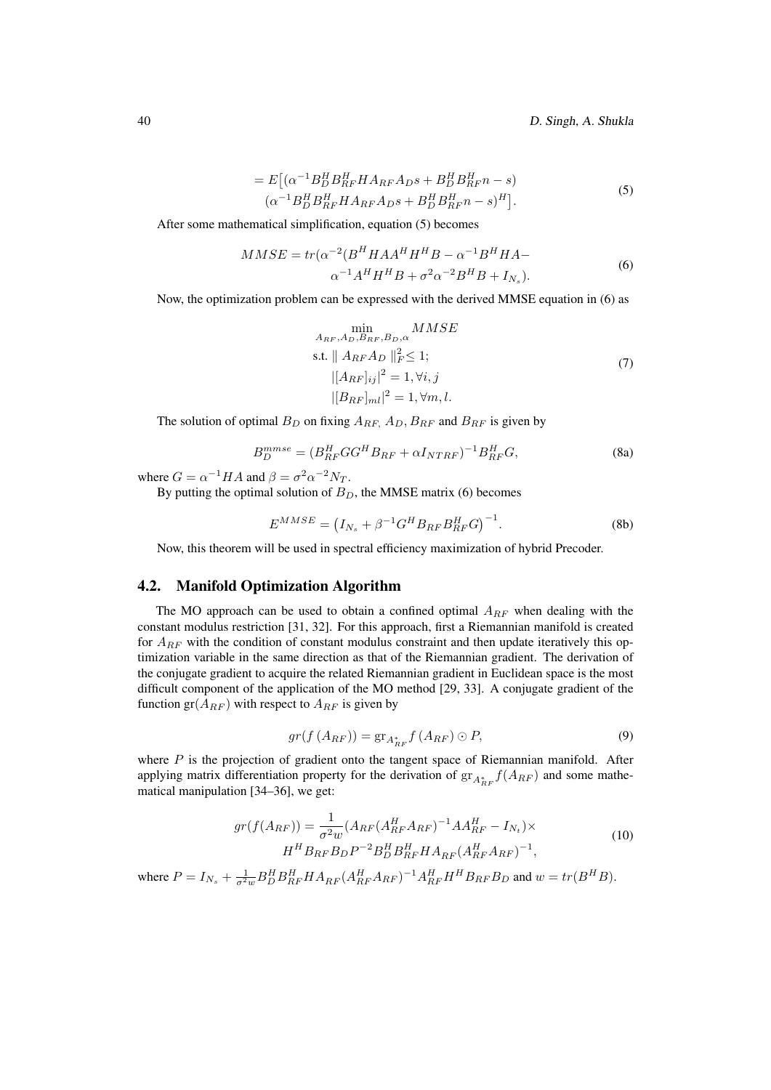40 D. Singh, A. Shukla

$$
= E[(\alpha^{-1}B_D^H B_{RF}^H H A_{RF} A_{DS} + B_D^H B_{RF}^H n - s) (\alpha^{-1}B_D^H B_{RF}^H H A_{RF} A_{DS} + B_D^H B_{RF}^H n - s)^H].
$$
 (5)

After some mathematical simplification, equation (5) becomes

$$
MMSE = tr(\alpha^{-2}(B^H H A A^H H^H B - \alpha^{-1} B^H H A - \alpha^{-1} A^H H^H B + \sigma^2 \alpha^{-2} B^H B + I_{N_s}).
$$
\n
$$
(6)
$$

Now, the optimization problem can be expressed with the derived MMSE equation in (6) as

$$
\min_{A_{RF}, A_D, B_{RF}, B_D, \alpha} MMSE
$$
\ns.t. 
$$
|| A_{RF} A_D ||_F^2 \le 1;
$$
\n
$$
||A_{RF}||_i^2 = 1, \forall i, j
$$
\n
$$
||B_{RF}||_{ml}|^2 = 1, \forall m, l.
$$
\n(7)

The solution of optimal  $B_D$  on fixing  $A_{RF}$ ,  $A_D$ ,  $B_{RF}$  and  $B_{RF}$  is given by

$$
B_D^{mmse} = (B_{RF}^H G G^H B_{RF} + \alpha I_{NTRF})^{-1} B_{RF}^H G,
$$
\n(8a)

where  $G = \alpha^{-1} H A$  and  $\beta = \sigma^2 \alpha^{-2} N_T$ .

By putting the optimal solution of  $B<sub>D</sub>$ , the MMSE matrix (6) becomes

$$
E^{MMSE} = (I_{N_s} + \beta^{-1} G^H B_{RF} B_{RF}^H G)^{-1}.
$$
 (8b)

Now, this theorem will be used in spectral efficiency maximization of hybrid Precoder.

### 4.2. Manifold Optimization Algorithm

The MO approach can be used to obtain a confined optimal  $A_{RF}$  when dealing with the constant modulus restriction [31, 32]. For this approach, first a Riemannian manifold is created for  $A_{RF}$  with the condition of constant modulus constraint and then update iteratively this optimization variable in the same direction as that of the Riemannian gradient. The derivation of the conjugate gradient to acquire the related Riemannian gradient in Euclidean space is the most difficult component of the application of the MO method [29, 33]. A conjugate gradient of the function  $gr(A_{RF})$  with respect to  $A_{RF}$  is given by

$$
gr(f(A_{RF})) = \operatorname{gr}_{A_{RF}^*} f(A_{RF}) \odot P, \qquad (9)
$$

where  $P$  is the projection of gradient onto the tangent space of Riemannian manifold. After applying matrix differentiation property for the derivation of  $\operatorname{gr}_{A_{RF}^*} f(A_{RF})$  and some mathematical manipulation [34–36], we get:

$$
gr(f(A_{RF})) = \frac{1}{\sigma^2 w} (A_{RF}(A_{RF}^H A_{RF})^{-1} A A_{RF}^H - I_{N_t}) \times
$$
  

$$
H^H B_{RF} B_D P^{-2} B_D^H B_{RF}^H H A_{RF}(A_{RF}^H A_{RF})^{-1},
$$
\n(10)

where  $P = I_{N_s} + \frac{1}{\sigma^2 w} B_D^H B_{RF}^H H A_{RF} (A_{RF}^H A_{RF})^{-1} A_{RF}^H H^H B_{RF} B_D$  and  $w = tr(B^H B)$ .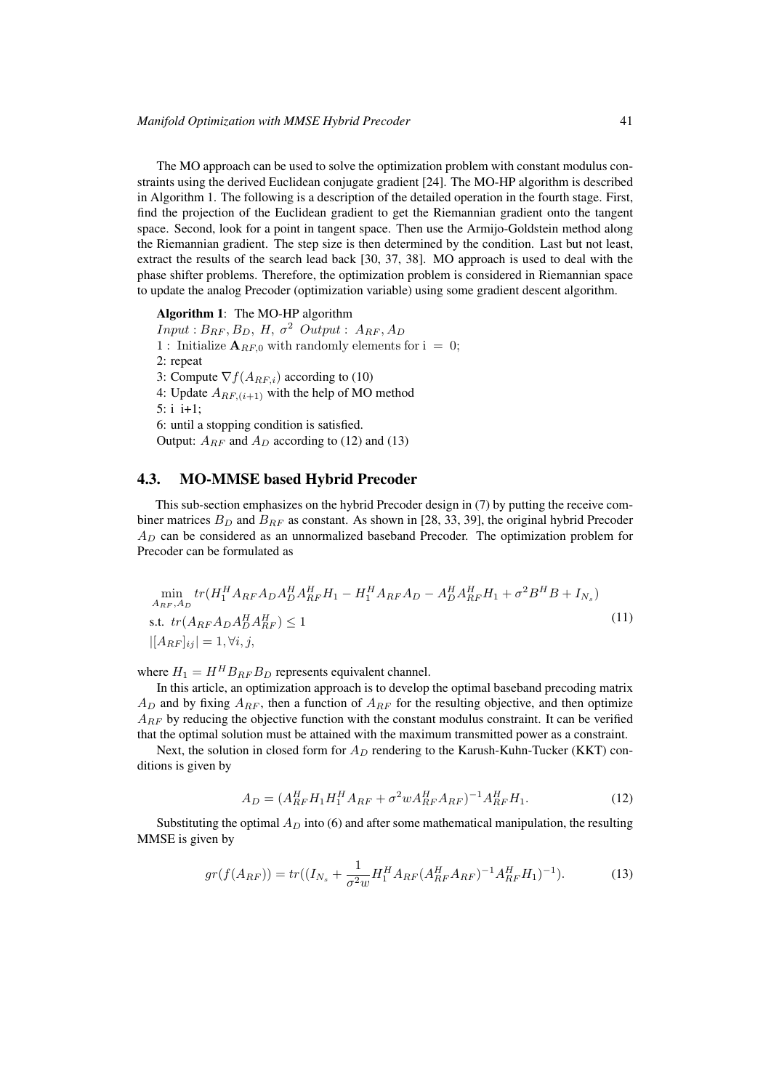The MO approach can be used to solve the optimization problem with constant modulus constraints using the derived Euclidean conjugate gradient [24]. The MO-HP algorithm is described in Algorithm 1. The following is a description of the detailed operation in the fourth stage. First, find the projection of the Euclidean gradient to get the Riemannian gradient onto the tangent space. Second, look for a point in tangent space. Then use the Armijo-Goldstein method along the Riemannian gradient. The step size is then determined by the condition. Last but not least, extract the results of the search lead back [30, 37, 38]. MO approach is used to deal with the phase shifter problems. Therefore, the optimization problem is considered in Riemannian space to update the analog Precoder (optimization variable) using some gradient descent algorithm.

Algorithm 1: The MO-HP algorithm  $Input: B_{RF}, B_D, H, \sigma^2 \text{ Output}: A_{RF}, A_D$ 1 : Initialize  $\mathbf{A}_{RF,0}$  with randomly elements for  $i = 0$ ; 2: repeat 3: Compute  $\nabla f(A_{RF,i})$  according to (10) 4: Update  $A_{RF,(i+1)}$  with the help of MO method 5: i i+1; 6: until a stopping condition is satisfied. Output:  $A_{RF}$  and  $A_D$  according to (12) and (13)

#### 4.3. MO-MMSE based Hybrid Precoder

This sub-section emphasizes on the hybrid Precoder design in (7) by putting the receive combiner matrices  $B_D$  and  $B_{RF}$  as constant. As shown in [28, 33, 39], the original hybrid Precoder  $A_D$  can be considered as an unnormalized baseband Precoder. The optimization problem for Precoder can be formulated as

$$
\min_{A_{RF},A_D} tr(H_1^H A_{RF} A_D A_D^H A_{RF}^H H_1 - H_1^H A_{RF} A_D - A_D^H A_{RF}^H H_1 + \sigma^2 B^H B + I_{N_s})
$$
\ns.t.  $tr(A_{RF} A_D A_D^H A_{RF}^H) \le 1$ \n
$$
|[A_{RF}]_{ij}| = 1, \forall i, j,
$$
\n(11)

where  $H_1 = H^H B_{RF} B_D$  represents equivalent channel.

In this article, an optimization approach is to develop the optimal baseband precoding matrix  $A_D$  and by fixing  $A_{RF}$ , then a function of  $A_{RF}$  for the resulting objective, and then optimize  $A_{RF}$  by reducing the objective function with the constant modulus constraint. It can be verified that the optimal solution must be attained with the maximum transmitted power as a constraint.

Next, the solution in closed form for  $A_D$  rendering to the Karush-Kuhn-Tucker (KKT) conditions is given by

$$
A_D = (A_{RF}^H H_1 H_1^H A_{RF} + \sigma^2 w A_{RF}^H A_{RF})^{-1} A_{RF}^H H_1.
$$
 (12)

Substituting the optimal  $A_D$  into (6) and after some mathematical manipulation, the resulting MMSE is given by

$$
gr(f(A_{RF})) = tr((I_{N_s} + \frac{1}{\sigma^2 w} H_1^H A_{RF}(A_{RF}^H A_{RF})^{-1} A_{RF}^H H_1)^{-1}).
$$
 (13)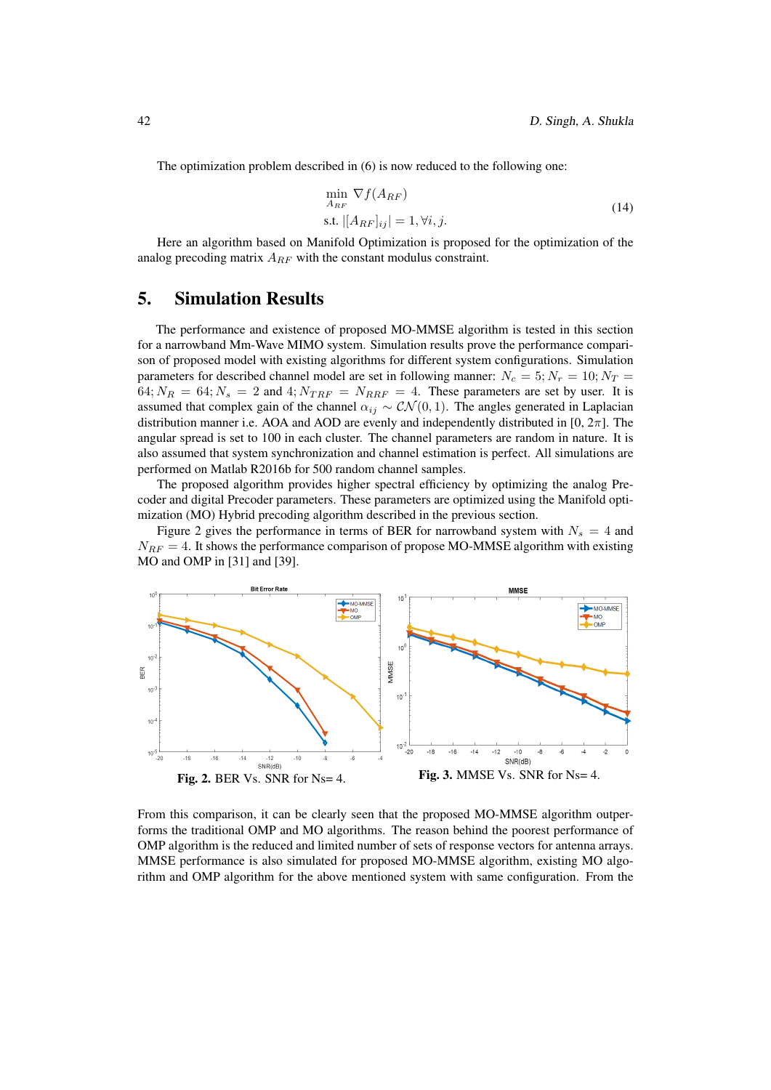The optimization problem described in (6) is now reduced to the following one:

$$
\min_{A_{RF}} \nabla f(A_{RF})
$$
  
s.t.  $[[A_{RF}]_{ij}] = 1, \forall i, j.$  (14)

Here an algorithm based on Manifold Optimization is proposed for the optimization of the analog precoding matrix  $A_{RF}$  with the constant modulus constraint.

## 5. Simulation Results

The performance and existence of proposed MO-MMSE algorithm is tested in this section for a narrowband Mm-Wave MIMO system. Simulation results prove the performance comparison of proposed model with existing algorithms for different system configurations. Simulation parameters for described channel model are set in following manner:  $N_c = 5$ ;  $N_r = 10$ ;  $N_T =$  $64; N_R = 64; N_s = 2$  and  $4; N_{TRF} = N_{RRF} = 4$ . These parameters are set by user. It is assumed that complex gain of the channel  $\alpha_{ij} \sim \mathcal{CN}(0, 1)$ . The angles generated in Laplacian distribution manner i.e. AOA and AOD are evenly and independently distributed in  $[0, 2\pi]$ . The angular spread is set to 100 in each cluster. The channel parameters are random in nature. It is also assumed that system synchronization and channel estimation is perfect. All simulations are performed on Matlab R2016b for 500 random channel samples.

The proposed algorithm provides higher spectral efficiency by optimizing the analog Precoder and digital Precoder parameters. These parameters are optimized using the Manifold optimization (MO) Hybrid precoding algorithm described in the previous section.

Figure 2 gives the performance in terms of BER for narrowband system with  $N_s = 4$  and  $N_{RF} = 4$ . It shows the performance comparison of propose MO-MMSE algorithm with existing MO and OMP in [31] and [39].



From this comparison, it can be clearly seen that the proposed MO-MMSE algorithm outperforms the traditional OMP and MO algorithms. The reason behind the poorest performance of OMP algorithm is the reduced and limited number of sets of response vectors for antenna arrays. MMSE performance is also simulated for proposed MO-MMSE algorithm, existing MO algorithm and OMP algorithm for the above mentioned system with same configuration. From the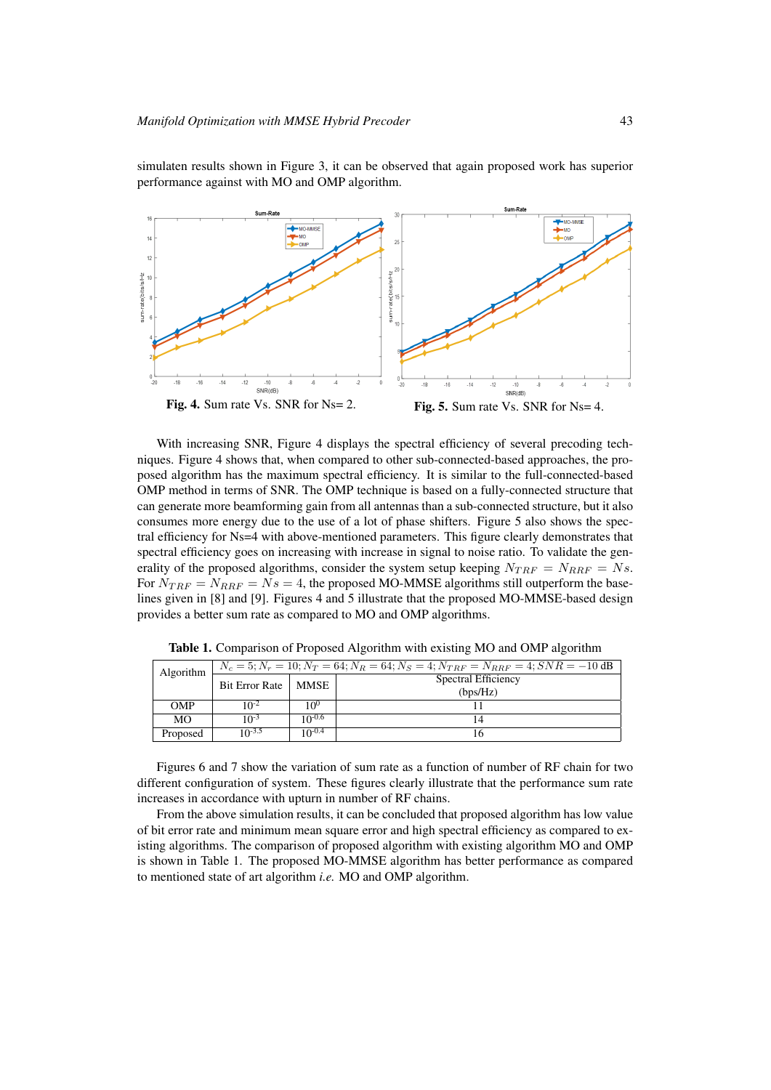

simulaten results shown in Figure 3, it can be observed that again proposed work has superior performance against with MO and OMP algorithm.

With increasing SNR, Figure 4 displays the spectral efficiency of several precoding techniques. Figure 4 shows that, when compared to other sub-connected-based approaches, the proposed algorithm has the maximum spectral efficiency. It is similar to the full-connected-based OMP method in terms of SNR. The OMP technique is based on a fully-connected structure that can generate more beamforming gain from all antennas than a sub-connected structure, but it also consumes more energy due to the use of a lot of phase shifters. Figure 5 also shows the spectral efficiency for Ns=4 with above-mentioned parameters. This figure clearly demonstrates that spectral efficiency goes on increasing with increase in signal to noise ratio. To validate the generality of the proposed algorithms, consider the system setup keeping  $N_{TRF} = N_{RRF} = N_s$ . For  $N_{TRF} = N_{RRF} = N_s = 4$ , the proposed MO-MMSE algorithms still outperform the baselines given in [8] and [9]. Figures 4 and 5 illustrate that the proposed MO-MMSE-based design provides a better sum rate as compared to MO and OMP algorithms.

| Algorithm  | $N_c = 5; N_r = 10; N_T = 64; N_R = 64; N_S = 4; N_{TRF} = N_{RRF} = 4; SNR = -10$ dB |             |                     |
|------------|---------------------------------------------------------------------------------------|-------------|---------------------|
|            | <b>Bit Error Rate</b>                                                                 | MMSE        | Spectral Efficiency |
|            |                                                                                       |             | (bps/Hz)            |
| <b>OMP</b> | $10^{-2}$                                                                             | $10^{0}$    |                     |
| <b>MO</b>  | $10^{-3}$                                                                             | $10^{-0.6}$ | 14                  |
| Proposed   | $10^{-3.5}$                                                                           | $10^{-0.4}$ | ۱h                  |

Table 1. Comparison of Proposed Algorithm with existing MO and OMP algorithm

Figures 6 and 7 show the variation of sum rate as a function of number of RF chain for two different configuration of system. These figures clearly illustrate that the performance sum rate increases in accordance with upturn in number of RF chains.

From the above simulation results, it can be concluded that proposed algorithm has low value of bit error rate and minimum mean square error and high spectral efficiency as compared to existing algorithms. The comparison of proposed algorithm with existing algorithm MO and OMP is shown in Table 1. The proposed MO-MMSE algorithm has better performance as compared to mentioned state of art algorithm *i.e.* MO and OMP algorithm.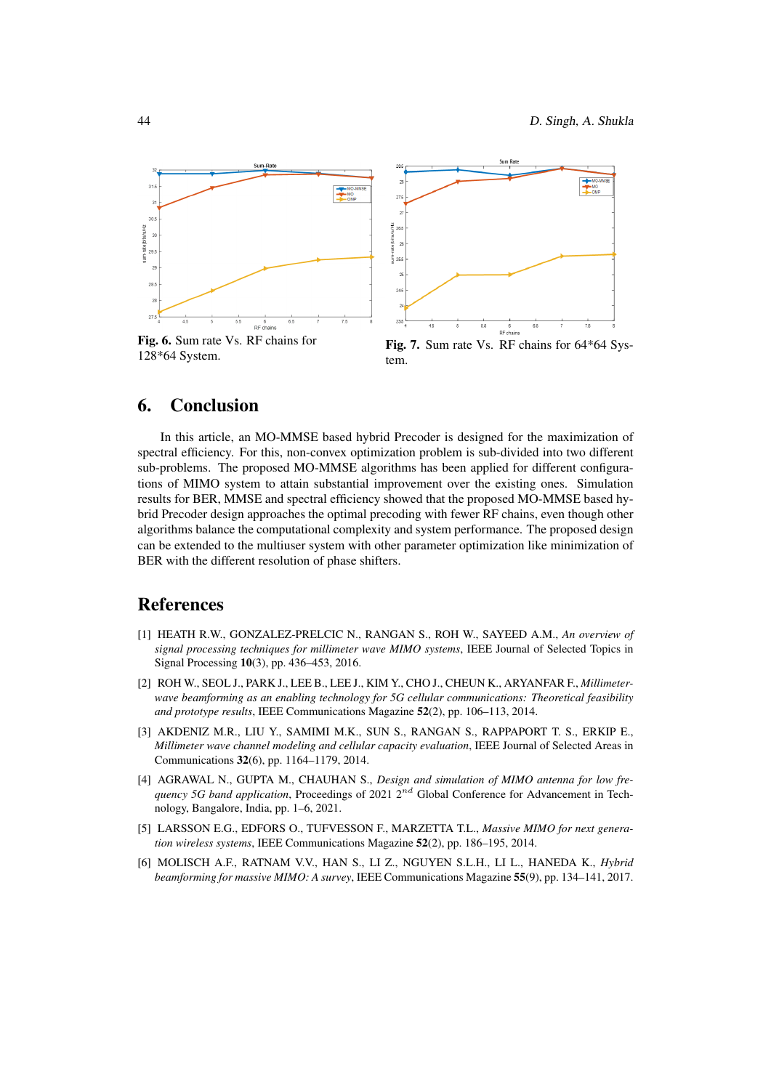

Fig. 6. Sum rate Vs. RF chains for 128\*64 System.

Fig. 7. Sum rate Vs. RF chains for 64\*64 System.

## 6. Conclusion

In this article, an MO-MMSE based hybrid Precoder is designed for the maximization of spectral efficiency. For this, non-convex optimization problem is sub-divided into two different sub-problems. The proposed MO-MMSE algorithms has been applied for different configurations of MIMO system to attain substantial improvement over the existing ones. Simulation results for BER, MMSE and spectral efficiency showed that the proposed MO-MMSE based hybrid Precoder design approaches the optimal precoding with fewer RF chains, even though other algorithms balance the computational complexity and system performance. The proposed design can be extended to the multiuser system with other parameter optimization like minimization of BER with the different resolution of phase shifters.

## References

- [1] HEATH R.W., GONZALEZ-PRELCIC N., RANGAN S., ROH W., SAYEED A.M., *An overview of signal processing techniques for millimeter wave MIMO systems*, IEEE Journal of Selected Topics in Signal Processing 10(3), pp. 436–453, 2016.
- [2] ROH W., SEOL J., PARK J., LEE B., LEE J., KIM Y., CHO J., CHEUN K., ARYANFAR F., *Millimeterwave beamforming as an enabling technology for 5G cellular communications: Theoretical feasibility and prototype results*, IEEE Communications Magazine 52(2), pp. 106–113, 2014.
- [3] AKDENIZ M.R., LIU Y., SAMIMI M.K., SUN S., RANGAN S., RAPPAPORT T. S., ERKIP E., *Millimeter wave channel modeling and cellular capacity evaluation*, IEEE Journal of Selected Areas in Communications 32(6), pp. 1164–1179, 2014.
- [4] AGRAWAL N., GUPTA M., CHAUHAN S., *Design and simulation of MIMO antenna for low frequency 5G band application*, Proceedings of 2021  $2^{nd}$  Global Conference for Advancement in Technology, Bangalore, India, pp. 1–6, 2021.
- [5] LARSSON E.G., EDFORS O., TUFVESSON F., MARZETTA T.L., *Massive MIMO for next generation wireless systems*, IEEE Communications Magazine 52(2), pp. 186–195, 2014.
- [6] MOLISCH A.F., RATNAM V.V., HAN S., LI Z., NGUYEN S.L.H., LI L., HANEDA K., *Hybrid beamforming for massive MIMO: A survey*, IEEE Communications Magazine 55(9), pp. 134–141, 2017.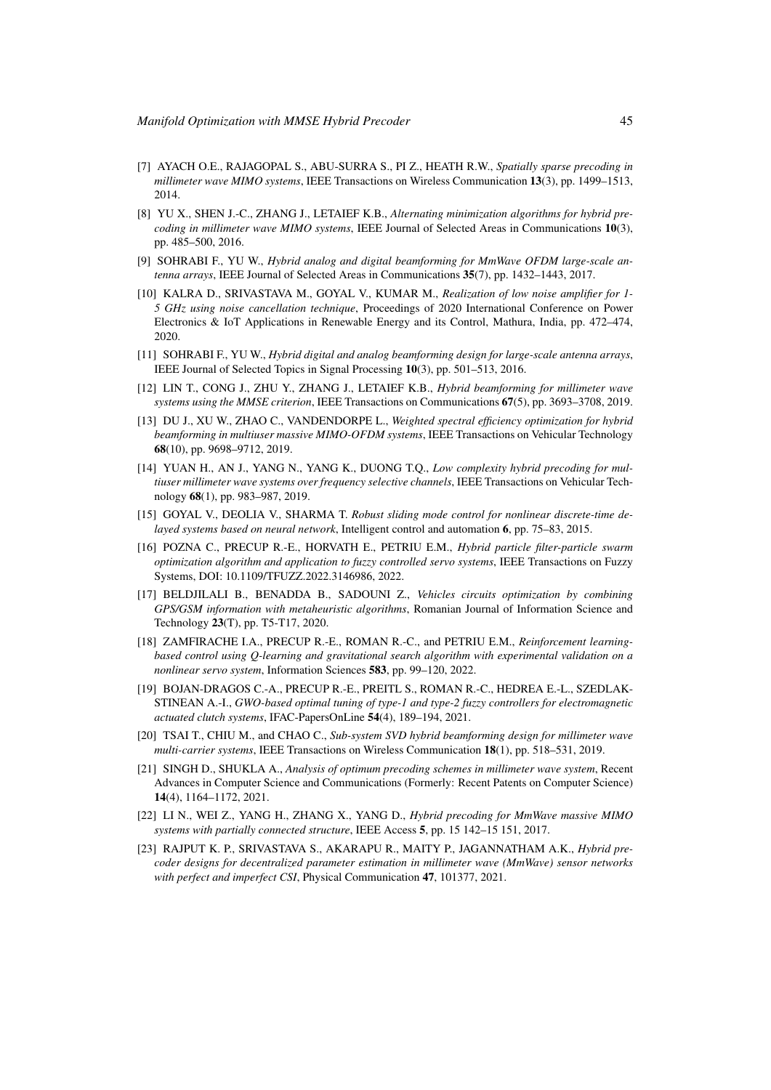- [7] AYACH O.E., RAJAGOPAL S., ABU-SURRA S., PI Z., HEATH R.W., *Spatially sparse precoding in millimeter wave MIMO systems*, IEEE Transactions on Wireless Communication 13(3), pp. 1499–1513, 2014.
- [8] YU X., SHEN J.-C., ZHANG J., LETAIEF K.B., *Alternating minimization algorithms for hybrid precoding in millimeter wave MIMO systems*, IEEE Journal of Selected Areas in Communications 10(3), pp. 485–500, 2016.
- [9] SOHRABI F., YU W., *Hybrid analog and digital beamforming for MmWave OFDM large-scale antenna arrays*, IEEE Journal of Selected Areas in Communications 35(7), pp. 1432–1443, 2017.
- [10] KALRA D., SRIVASTAVA M., GOYAL V., KUMAR M., *Realization of low noise amplifier for 1- 5 GHz using noise cancellation technique*, Proceedings of 2020 International Conference on Power Electronics & IoT Applications in Renewable Energy and its Control, Mathura, India, pp. 472–474, 2020.
- [11] SOHRABI F., YU W., *Hybrid digital and analog beamforming design for large-scale antenna arrays*, IEEE Journal of Selected Topics in Signal Processing 10(3), pp. 501–513, 2016.
- [12] LIN T., CONG J., ZHU Y., ZHANG J., LETAIEF K.B., *Hybrid beamforming for millimeter wave systems using the MMSE criterion*, IEEE Transactions on Communications 67(5), pp. 3693–3708, 2019.
- [13] DU J., XU W., ZHAO C., VANDENDORPE L., *Weighted spectral efficiency optimization for hybrid beamforming in multiuser massive MIMO-OFDM systems*, IEEE Transactions on Vehicular Technology 68(10), pp. 9698–9712, 2019.
- [14] YUAN H., AN J., YANG N., YANG K., DUONG T.Q., *Low complexity hybrid precoding for multiuser millimeter wave systems over frequency selective channels*, IEEE Transactions on Vehicular Technology 68(1), pp. 983–987, 2019.
- [15] GOYAL V., DEOLIA V., SHARMA T. *Robust sliding mode control for nonlinear discrete-time delayed systems based on neural network*, Intelligent control and automation 6, pp. 75–83, 2015.
- [16] POZNA C., PRECUP R.-E., HORVATH E., PETRIU E.M., *Hybrid particle filter-particle swarm optimization algorithm and application to fuzzy controlled servo systems*, IEEE Transactions on Fuzzy Systems, DOI: 10.1109/TFUZZ.2022.3146986, 2022.
- [17] BELDJILALI B., BENADDA B., SADOUNI Z., *Vehicles circuits optimization by combining GPS/GSM information with metaheuristic algorithms*, Romanian Journal of Information Science and Technology 23(T), pp. T5-T17, 2020.
- [18] ZAMFIRACHE I.A., PRECUP R.-E., ROMAN R.-C., and PETRIU E.M., *Reinforcement learningbased control using Q-learning and gravitational search algorithm with experimental validation on a nonlinear servo system*, Information Sciences 583, pp. 99–120, 2022.
- [19] BOJAN-DRAGOS C.-A., PRECUP R.-E., PREITL S., ROMAN R.-C., HEDREA E.-L., SZEDLAK-STINEAN A.-I., *GWO-based optimal tuning of type-1 and type-2 fuzzy controllers for electromagnetic actuated clutch systems*, IFAC-PapersOnLine 54(4), 189–194, 2021.
- [20] TSAI T., CHIU M., and CHAO C., *Sub-system SVD hybrid beamforming design for millimeter wave multi-carrier systems*, IEEE Transactions on Wireless Communication 18(1), pp. 518–531, 2019.
- [21] SINGH D., SHUKLA A., *Analysis of optimum precoding schemes in millimeter wave system*, Recent Advances in Computer Science and Communications (Formerly: Recent Patents on Computer Science) 14(4), 1164–1172, 2021.
- [22] LI N., WEI Z., YANG H., ZHANG X., YANG D., *Hybrid precoding for MmWave massive MIMO systems with partially connected structure*, IEEE Access 5, pp. 15 142–15 151, 2017.
- [23] RAJPUT K. P., SRIVASTAVA S., AKARAPU R., MAITY P., JAGANNATHAM A.K., *Hybrid precoder designs for decentralized parameter estimation in millimeter wave (MmWave) sensor networks with perfect and imperfect CSI*, Physical Communication 47, 101377, 2021.